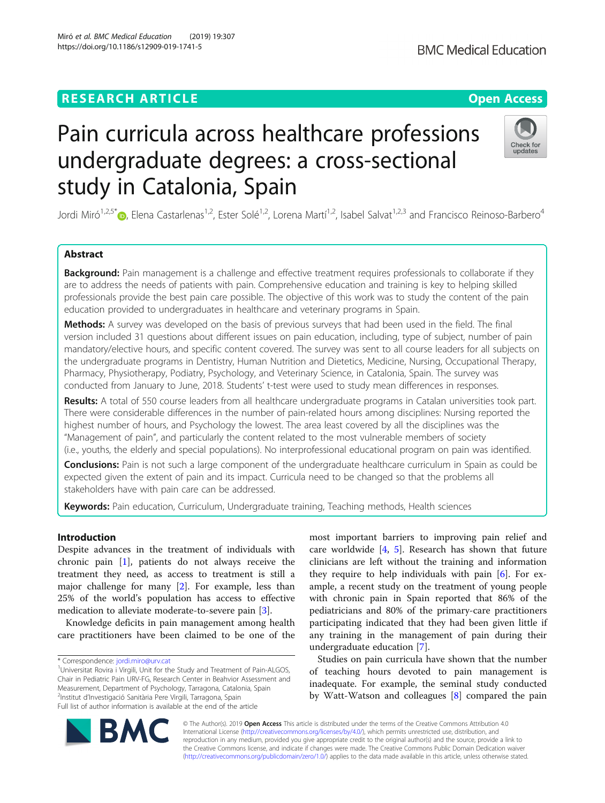# **RESEARCH ARTICLE Example 2018 12:30 THE Open Access**

# Pain curricula across healthcare professions undergraduate degrees: a cross-sectional study in Catalonia, Spain

Jordi Miró<sup>1,2,5\*</sup> $\odot$ , Elena Castarlenas<sup>1,2</sup>, Ester Solé<sup>1,2</sup>, Lorena Martí<sup>1,2</sup>, Isabel Salvat<sup>1,2,3</sup> and Francisco Reinoso-Barbero<sup>4</sup>

# Abstract

Background: Pain management is a challenge and effective treatment requires professionals to collaborate if they are to address the needs of patients with pain. Comprehensive education and training is key to helping skilled professionals provide the best pain care possible. The objective of this work was to study the content of the pain education provided to undergraduates in healthcare and veterinary programs in Spain.

Methods: A survey was developed on the basis of previous surveys that had been used in the field. The final version included 31 questions about different issues on pain education, including, type of subject, number of pain mandatory/elective hours, and specific content covered. The survey was sent to all course leaders for all subjects on the undergraduate programs in Dentistry, Human Nutrition and Dietetics, Medicine, Nursing, Occupational Therapy, Pharmacy, Physiotherapy, Podiatry, Psychology, and Veterinary Science, in Catalonia, Spain. The survey was conducted from January to June, 2018. Students' t-test were used to study mean differences in responses.

Results: A total of 550 course leaders from all healthcare undergraduate programs in Catalan universities took part. There were considerable differences in the number of pain-related hours among disciplines: Nursing reported the highest number of hours, and Psychology the lowest. The area least covered by all the disciplines was the "Management of pain", and particularly the content related to the most vulnerable members of society (i.e., youths, the elderly and special populations). No interprofessional educational program on pain was identified.

**Conclusions:** Pain is not such a large component of the undergraduate healthcare curriculum in Spain as could be expected given the extent of pain and its impact. Curricula need to be changed so that the problems all stakeholders have with pain care can be addressed.

Keywords: Pain education, Curriculum, Undergraduate training, Teaching methods, Health sciences

# Introduction

Despite advances in the treatment of individuals with chronic pain [\[1](#page-7-0)], patients do not always receive the treatment they need, as access to treatment is still a major challenge for many [[2\]](#page-7-0). For example, less than 25% of the world's population has access to effective medication to alleviate moderate-to-severe pain [[3\]](#page-7-0).

Knowledge deficits in pain management among health care practitioners have been claimed to be one of the

© The Author(s). 2019 **Open Access** This article is distributed under the terms of the Creative Commons Attribution 4.0 International License [\(http://creativecommons.org/licenses/by/4.0/](http://creativecommons.org/licenses/by/4.0/)), which permits unrestricted use, distribution, and reproduction in any medium, provided you give appropriate credit to the original author(s) and the source, provide a link to the Creative Commons license, and indicate if changes were made. The Creative Commons Public Domain Dedication waiver [\(http://creativecommons.org/publicdomain/zero/1.0/](http://creativecommons.org/publicdomain/zero/1.0/)) applies to the data made available in this article, unless otherwise stated.

most important barriers to improving pain relief and care worldwide [\[4](#page-7-0), [5\]](#page-7-0). Research has shown that future clinicians are left without the training and information they require to help individuals with pain [\[6](#page-7-0)]. For example, a recent study on the treatment of young people with chronic pain in Spain reported that 86% of the pediatricians and 80% of the primary-care practitioners participating indicated that they had been given little if any training in the management of pain during their undergraduate education [\[7\]](#page-7-0).

Studies on pain curricula have shown that the number of teaching hours devoted to pain management is inadequate. For example, the seminal study conducted by Watt-Watson and colleagues [[8\]](#page-7-0) compared the pain







<sup>\*</sup> Correspondence: [jordi.miro@urv.cat](mailto:jordi.miro@urv.cat) <sup>1</sup>

<sup>&</sup>lt;sup>1</sup>Universitat Rovira i Virgili, Unit for the Study and Treatment of Pain-ALGOS, Chair in Pediatric Pain URV-FG, Research Center in Beahvior Assessment and Measurement, Department of Psychology, Tarragona, Catalonia, Spain 2 Institut d'Investigació Sanitària Pere Virgili, Tarragona, Spain Full list of author information is available at the end of the article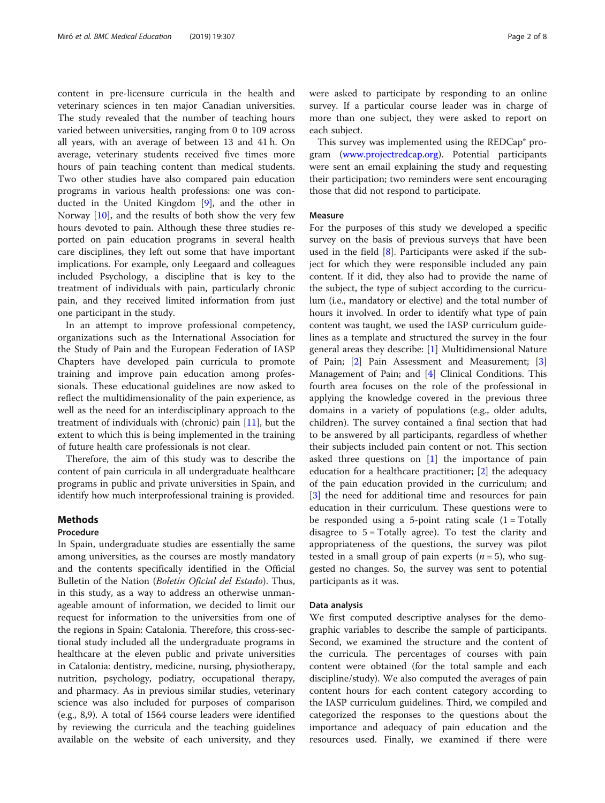content in pre-licensure curricula in the health and veterinary sciences in ten major Canadian universities. The study revealed that the number of teaching hours varied between universities, ranging from 0 to 109 across all years, with an average of between 13 and 41 h. On average, veterinary students received five times more hours of pain teaching content than medical students. Two other studies have also compared pain education programs in various health professions: one was conducted in the United Kingdom [\[9](#page-7-0)], and the other in Norway [\[10](#page-7-0)], and the results of both show the very few hours devoted to pain. Although these three studies reported on pain education programs in several health care disciplines, they left out some that have important implications. For example, only Leegaard and colleagues included Psychology, a discipline that is key to the treatment of individuals with pain, particularly chronic pain, and they received limited information from just one participant in the study.

In an attempt to improve professional competency, organizations such as the International Association for the Study of Pain and the European Federation of IASP Chapters have developed pain curricula to promote training and improve pain education among professionals. These educational guidelines are now asked to reflect the multidimensionality of the pain experience, as well as the need for an interdisciplinary approach to the treatment of individuals with (chronic) pain [[11\]](#page-7-0), but the extent to which this is being implemented in the training of future health care professionals is not clear.

Therefore, the aim of this study was to describe the content of pain curricula in all undergraduate healthcare programs in public and private universities in Spain, and identify how much interprofessional training is provided.

# **Methods**

# Procedure

In Spain, undergraduate studies are essentially the same among universities, as the courses are mostly mandatory and the contents specifically identified in the Official Bulletin of the Nation (Boletín Oficial del Estado). Thus, in this study, as a way to address an otherwise unmanageable amount of information, we decided to limit our request for information to the universities from one of the regions in Spain: Catalonia. Therefore, this cross-sectional study included all the undergraduate programs in healthcare at the eleven public and private universities in Catalonia: dentistry, medicine, nursing, physiotherapy, nutrition, psychology, podiatry, occupational therapy, and pharmacy. As in previous similar studies, veterinary science was also included for purposes of comparison (e.g., 8,9). A total of 1564 course leaders were identified by reviewing the curricula and the teaching guidelines available on the website of each university, and they were asked to participate by responding to an online survey. If a particular course leader was in charge of more than one subject, they were asked to report on each subject.

This survey was implemented using the REDCap® program ([www.projectredcap.org\)](http://www.projectredcap.org). Potential participants were sent an email explaining the study and requesting their participation; two reminders were sent encouraging those that did not respond to participate.

## Measure

For the purposes of this study we developed a specific survey on the basis of previous surveys that have been used in the field [[8\]](#page-7-0). Participants were asked if the subject for which they were responsible included any pain content. If it did, they also had to provide the name of the subject, the type of subject according to the curriculum (i.e., mandatory or elective) and the total number of hours it involved. In order to identify what type of pain content was taught, we used the IASP curriculum guidelines as a template and structured the survey in the four general areas they describe: [[1](#page-7-0)] Multidimensional Nature of Pain; [[2](#page-7-0)] Pain Assessment and Measurement; [\[3](#page-7-0)] Management of Pain; and [\[4](#page-7-0)] Clinical Conditions. This fourth area focuses on the role of the professional in applying the knowledge covered in the previous three domains in a variety of populations (e.g., older adults, children). The survey contained a final section that had to be answered by all participants, regardless of whether their subjects included pain content or not. This section asked three questions on [\[1](#page-7-0)] the importance of pain education for a healthcare practitioner; [[2\]](#page-7-0) the adequacy of the pain education provided in the curriculum; and [[3\]](#page-7-0) the need for additional time and resources for pain education in their curriculum. These questions were to be responded using a 5-point rating scale  $(1 - Totally)$ disagree to  $5 = \text{Totally agree}$ ). To test the clarity and appropriateness of the questions, the survey was pilot tested in a small group of pain experts  $(n = 5)$ , who suggested no changes. So, the survey was sent to potential participants as it was.

#### Data analysis

We first computed descriptive analyses for the demographic variables to describe the sample of participants. Second, we examined the structure and the content of the curricula. The percentages of courses with pain content were obtained (for the total sample and each discipline/study). We also computed the averages of pain content hours for each content category according to the IASP curriculum guidelines. Third, we compiled and categorized the responses to the questions about the importance and adequacy of pain education and the resources used. Finally, we examined if there were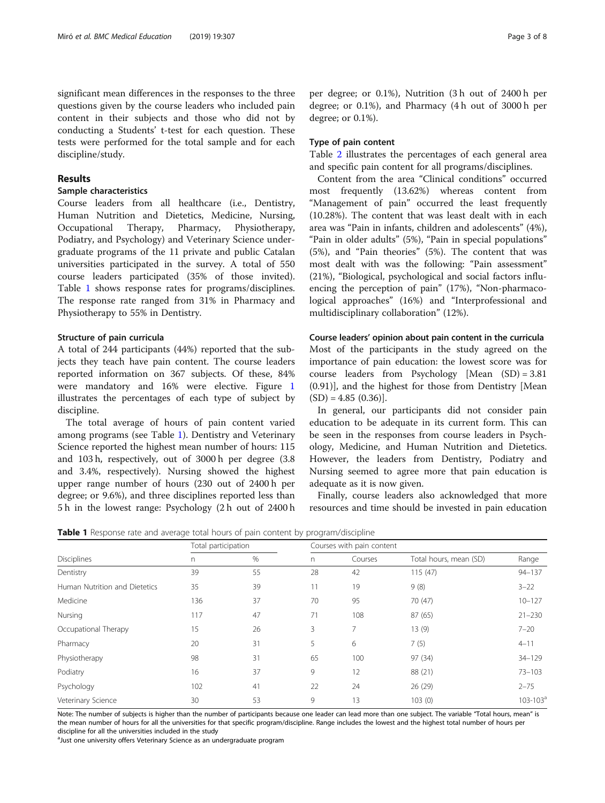significant mean differences in the responses to the three questions given by the course leaders who included pain content in their subjects and those who did not by conducting a Students' t-test for each question. These tests were performed for the total sample and for each discipline/study.

# Results

# Sample characteristics

Course leaders from all healthcare (i.e., Dentistry, Human Nutrition and Dietetics, Medicine, Nursing, Occupational Therapy, Pharmacy, Physiotherapy, Podiatry, and Psychology) and Veterinary Science undergraduate programs of the 11 private and public Catalan universities participated in the survey. A total of 550 course leaders participated (35% of those invited). Table 1 shows response rates for programs/disciplines. The response rate ranged from 31% in Pharmacy and Physiotherapy to 55% in Dentistry.

# Structure of pain curricula

A total of 244 participants (44%) reported that the subjects they teach have pain content. The course leaders reported information on 367 subjects. Of these, 84% were mandatory and 16% were elective. Figure [1](#page-3-0) illustrates the percentages of each type of subject by discipline.

The total average of hours of pain content varied among programs (see Table 1). Dentistry and Veterinary Science reported the highest mean number of hours: 115 and 103 h, respectively, out of 3000 h per degree (3.8 and 3.4%, respectively). Nursing showed the highest upper range number of hours (230 out of 2400 h per degree; or 9.6%), and three disciplines reported less than 5 h in the lowest range: Psychology (2 h out of 2400 h

per degree; or 0.1%), Nutrition (3 h out of 2400 h per degree; or 0.1%), and Pharmacy (4 h out of 3000 h per degree; or 0.1%).

# Type of pain content

Table [2](#page-4-0) illustrates the percentages of each general area and specific pain content for all programs/disciplines.

Content from the area "Clinical conditions" occurred most frequently (13.62%) whereas content from "Management of pain" occurred the least frequently (10.28%). The content that was least dealt with in each area was "Pain in infants, children and adolescents" (4%), "Pain in older adults" (5%), "Pain in special populations" (5%), and "Pain theories" (5%). The content that was most dealt with was the following: "Pain assessment" (21%), "Biological, psychological and social factors influencing the perception of pain" (17%), "Non-pharmacological approaches" (16%) and "Interprofessional and multidisciplinary collaboration" (12%).

# Course leaders' opinion about pain content in the curricula

Most of the participants in the study agreed on the importance of pain education: the lowest score was for course leaders from Psychology [Mean (SD) = 3.81 (0.91)], and the highest for those from Dentistry [Mean  $(SD) = 4.85 (0.36)$ .

In general, our participants did not consider pain education to be adequate in its current form. This can be seen in the responses from course leaders in Psychology, Medicine, and Human Nutrition and Dietetics. However, the leaders from Dentistry, Podiatry and Nursing seemed to agree more that pain education is adequate as it is now given.

Finally, course leaders also acknowledged that more resources and time should be invested in pain education

**Table 1** Response rate and average total hours of pain content by program/discipline

|                               | Total participation |      |    | Courses with pain content |                        |               |
|-------------------------------|---------------------|------|----|---------------------------|------------------------|---------------|
| <b>Disciplines</b>            | n                   | $\%$ | n  | Courses                   | Total hours, mean (SD) | Range         |
| Dentistry                     | 39                  | 55   | 28 | 42                        | 115(47)                | $94 - 137$    |
| Human Nutrition and Dietetics | 35                  | 39   | 11 | 19                        | 9(8)                   | $3 - 22$      |
| Medicine                      | 136                 | 37   | 70 | 95                        | 70 (47)                | $10 - 127$    |
| Nursing                       | 117                 | 47   | 71 | 108                       | 87 (65)                | $21 - 230$    |
| Occupational Therapy          | 15                  | 26   | 3  | 7                         | 13(9)                  | $7 - 20$      |
| Pharmacy                      | 20                  | 31   | 5  | 6                         | 7(5)                   | $4 - 11$      |
| Physiotherapy                 | 98                  | 31   | 65 | 100                       | 97 (34)                | $34 - 129$    |
| Podiatry                      | 16                  | 37   | 9  | 12                        | 88 (21)                | $73 - 103$    |
| Psychology                    | 102                 | 41   | 22 | 24                        | 26 (29)                | $2 - 75$      |
| Veterinary Science            | 30                  | 53   | 9  | 13                        | 103(0)                 | $103 - 103^a$ |

Note: The number of subjects is higher than the number of participants because one leader can lead more than one subject. The variable "Total hours, mean" is the mean number of hours for all the universities for that specific program/discipline. Range includes the lowest and the highest total number of hours per discipline for all the universities included in the study

<sup>a</sup>Just one university offers Veterinary Science as an undergraduate program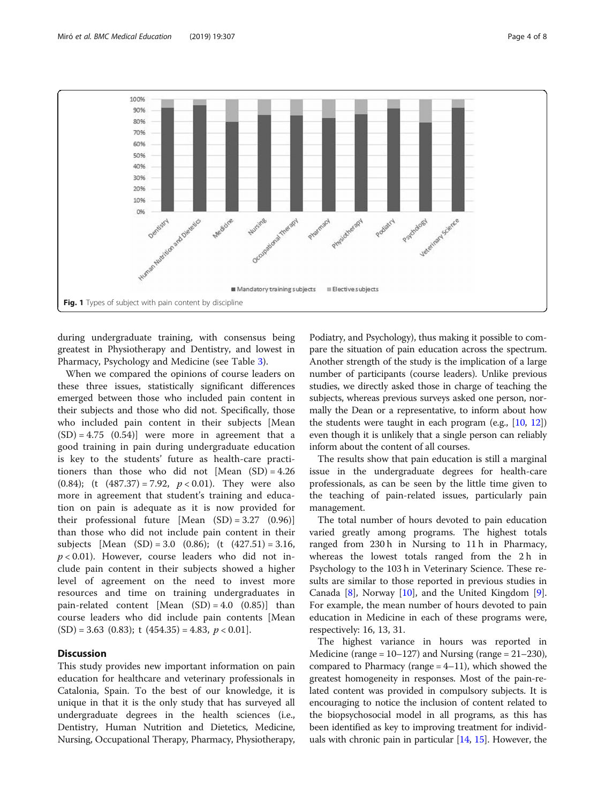<span id="page-3-0"></span>

during undergraduate training, with consensus being greatest in Physiotherapy and Dentistry, and lowest in Pharmacy, Psychology and Medicine (see Table [3\)](#page-5-0).

When we compared the opinions of course leaders on these three issues, statistically significant differences emerged between those who included pain content in their subjects and those who did not. Specifically, those who included pain content in their subjects [Mean  $(SD) = 4.75$   $(0.54)$ ] were more in agreement that a good training in pain during undergraduate education is key to the students' future as health-care practitioners than those who did not [Mean (SD) = 4.26 (0.84); (t  $(487.37) = 7.92$ ,  $p < 0.01$ ). They were also more in agreement that student's training and education on pain is adequate as it is now provided for their professional future [Mean (SD) = 3.27 (0.96)] than those who did not include pain content in their subjects [Mean (SD) = 3.0 (0.86); (t  $(427.51) = 3.16$ ,  $p < 0.01$ ). However, course leaders who did not include pain content in their subjects showed a higher level of agreement on the need to invest more resources and time on training undergraduates in pain-related content [Mean  $(SD) = 4.0$   $(0.85)$ ] than course leaders who did include pain contents [Mean  $(SD) = 3.63$  (0.83); t (454.35) = 4.83,  $p < 0.01$ ].

# **Discussion**

This study provides new important information on pain education for healthcare and veterinary professionals in Catalonia, Spain. To the best of our knowledge, it is unique in that it is the only study that has surveyed all undergraduate degrees in the health sciences (i.e., Dentistry, Human Nutrition and Dietetics, Medicine, Nursing, Occupational Therapy, Pharmacy, Physiotherapy,

Podiatry, and Psychology), thus making it possible to compare the situation of pain education across the spectrum. Another strength of the study is the implication of a large number of participants (course leaders). Unlike previous studies, we directly asked those in charge of teaching the subjects, whereas previous surveys asked one person, normally the Dean or a representative, to inform about how the students were taught in each program (e.g., [\[10,](#page-7-0) [12](#page-7-0)]) even though it is unlikely that a single person can reliably inform about the content of all courses.

The results show that pain education is still a marginal issue in the undergraduate degrees for health-care professionals, as can be seen by the little time given to the teaching of pain-related issues, particularly pain management.

The total number of hours devoted to pain education varied greatly among programs. The highest totals ranged from 230 h in Nursing to 11 h in Pharmacy, whereas the lowest totals ranged from the 2h in Psychology to the 103 h in Veterinary Science. These results are similar to those reported in previous studies in Canada [\[8](#page-7-0)], Norway [[10\]](#page-7-0), and the United Kingdom [\[9](#page-7-0)]. For example, the mean number of hours devoted to pain education in Medicine in each of these programs were, respectively: 16, 13, 31.

The highest variance in hours was reported in Medicine (range =  $10-127$ ) and Nursing (range =  $21-230$ ), compared to Pharmacy (range  $= 4-11$ ), which showed the greatest homogeneity in responses. Most of the pain-related content was provided in compulsory subjects. It is encouraging to notice the inclusion of content related to the biopsychosocial model in all programs, as this has been identified as key to improving treatment for individuals with chronic pain in particular [[14](#page-7-0), [15\]](#page-7-0). However, the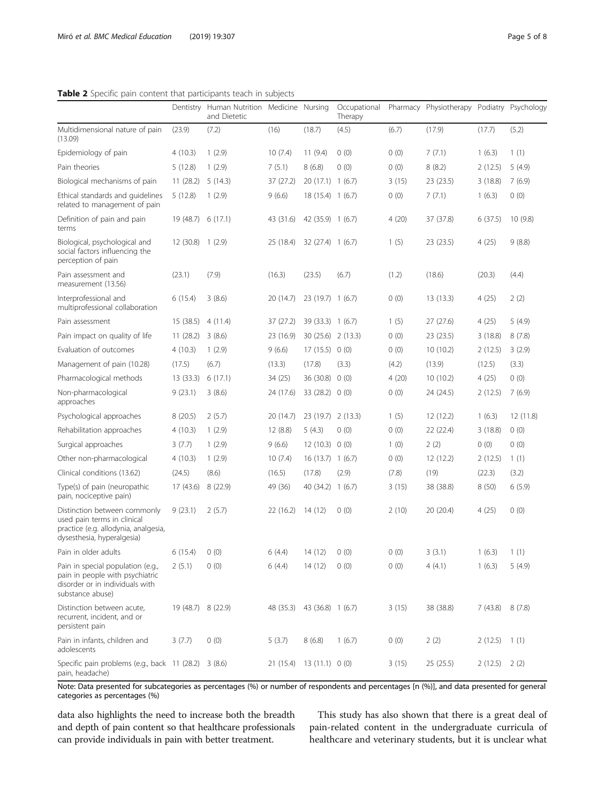<span id="page-4-0"></span>Table 2 Specific pain content that participants teach in subjects

|                                                                                                                                   |                    | Dentistry Human Nutrition Medicine Nursing<br>and Dietetic |           |                    | Occupational<br>Therapy |       | Pharmacy Physiotherapy Podiatry Psychology |         |          |
|-----------------------------------------------------------------------------------------------------------------------------------|--------------------|------------------------------------------------------------|-----------|--------------------|-------------------------|-------|--------------------------------------------|---------|----------|
| Multidimensional nature of pain<br>(13.09)                                                                                        | (23.9)             | (7.2)                                                      | (16)      | (18.7)             | (4.5)                   | (6.7) | (17.9)                                     | (17.7)  | (5.2)    |
| Epidemiology of pain                                                                                                              | 4(10.3)            | 1(2.9)                                                     | 10(7.4)   | 11(9.4)            | 0(0)                    | 0(0)  | 7(7.1)                                     | 1(6.3)  | 1(1)     |
| Pain theories                                                                                                                     | 5(12.8)            | 1(2.9)                                                     | 7(5.1)    | 8(6.8)             | 0(0)                    | 0(0)  | 8(8.2)                                     | 2(12.5) | 5(4.9)   |
| Biological mechanisms of pain                                                                                                     | 11(28.2)           | 5(14.3)                                                    | 37 (27.2) | 20(17.1) 1(6.7)    |                         | 3(15) | 23(23.5)                                   | 3(18.8) | 7(6.9)   |
| Ethical standards and quidelines<br>related to management of pain                                                                 | 5(12.8)            | 1(2.9)                                                     | 9(6.6)    | 18(15.4) 1(6.7)    |                         | 0(0)  | 7(7.1)                                     | 1(6.3)  | 0(0)     |
| Definition of pain and pain<br>terms                                                                                              | 19 (48.7) 6 (17.1) |                                                            | 43 (31.6) | 42 (35.9) 1 (6.7)  |                         | 4(20) | 37 (37.8)                                  | 6(37.5) | 10(9.8)  |
| Biological, psychological and<br>social factors influencing the<br>perception of pain                                             | 12 (30.8) 1 (2.9)  |                                                            | 25 (18.4) | 32 (27.4) 1 (6.7)  |                         | 1(5)  | 23 (23.5)                                  | 4(25)   | 9(8.8)   |
| Pain assessment and<br>measurement (13.56)                                                                                        | (23.1)             | (7.9)                                                      | (16.3)    | (23.5)             | (6.7)                   | (1.2) | (18.6)                                     | (20.3)  | (4.4)    |
| Interprofessional and<br>multiprofessional collaboration                                                                          | 6(15.4)            | 3(8.6)                                                     | 20 (14.7) | 23 (19.7) 1 (6.7)  |                         | 0(0)  | 13(13.3)                                   | 4(25)   | 2(2)     |
| Pain assessment                                                                                                                   | 15 (38.5)          | 4(11.4)                                                    | 37 (27.2) | 39 (33.3) 1 (6.7)  |                         | 1(5)  | 27(27.6)                                   | 4(25)   | 5(4.9)   |
| Pain impact on quality of life                                                                                                    | 11(28.2)           | 3(8.6)                                                     | 23 (16.9) | 30 (25.6) 2 (13.3) |                         | 0(0)  | 23 (23.5)                                  | 3(18.8) | 8(7.8)   |
| Evaluation of outcomes                                                                                                            | 4(10.3)            | 1(2.9)                                                     | 9(6.6)    | 17(15.5) 0(0)      |                         | 0(0)  | 10(10.2)                                   | 2(12.5) | 3(2.9)   |
| Management of pain (10.28)                                                                                                        | (17.5)             | (6.7)                                                      | (13.3)    | (17.8)             | (3.3)                   | (4.2) | (13.9)                                     | (12.5)  | (3.3)    |
| Pharmacological methods                                                                                                           | 13(33.3)           | 6(17.1)                                                    | 34 (25)   | 36 (30.8)          | 0(0)                    | 4(20) | 10(10.2)                                   | 4(25)   | 0(0)     |
| Non-pharmacological<br>approaches                                                                                                 | 9(23.1)            | 3(8.6)                                                     | 24 (17.6) | 33 (28.2)          | 0(0)                    | 0(0)  | 24 (24.5)                                  | 2(12.5) | 7(6.9)   |
| Psychological approaches                                                                                                          | 8(20.5)            | 2(5.7)                                                     | 20 (14.7) | 23 (19.7)          | 2(13.3)                 | 1(5)  | 12 (12.2)                                  | 1(6.3)  | 12(11.8) |
| Rehabilitation approaches                                                                                                         | 4(10.3)            | 1(2.9)                                                     | 12(8.8)   | 5(4.3)             | 0(0)                    | 0(0)  | 22 (22.4)                                  | 3(18.8) | 0(0)     |
| Surgical approaches                                                                                                               | 3(7.7)             | 1(2.9)                                                     | 9(6.6)    | 12(10.3) 0(0)      |                         | 1(0)  | 2(2)                                       | 0(0)    | 0(0)     |
| Other non-pharmacological                                                                                                         | 4(10.3)            | 1(2.9)                                                     | 10(7.4)   | 16(13.7) 1(6.7)    |                         | 0(0)  | 12 (12.2)                                  | 2(12.5) | 1(1)     |
| Clinical conditions (13.62)                                                                                                       | (24.5)             | (8.6)                                                      | (16.5)    | (17.8)             | (2.9)                   | (7.8) | (19)                                       | (22.3)  | (3.2)    |
| Type(s) of pain (neuropathic<br>pain, nociceptive pain)                                                                           | 17(43.6)           | 8(22.9)                                                    | 49 (36)   | 40 (34.2) 1 (6.7)  |                         | 3(15) | 38 (38.8)                                  | 8(50)   | 6(5.9)   |
| Distinction between commonly<br>used pain terms in clinical<br>practice (e.g. allodynia, analgesia,<br>dysesthesia, hyperalgesia) | 9(23.1)            | 2(5.7)                                                     | 22 (16.2) | 14 (12)            | 0(0)                    | 2(10) | 20 (20.4)                                  | 4(25)   | 0(0)     |
| Pain in older adults                                                                                                              | 6(15.4)            | 0(0)                                                       | 6(4.4)    | 14(12)             | 0(0)                    | 0(0)  | 3(3.1)                                     | 1(6.3)  | 1(1)     |
| Pain in special population (e.g.,<br>pain in people with psychiatric<br>disorder or in individuals with<br>substance abuse)       | 2(5.1)             | 0(0)                                                       | 6(4.4)    | 14 (12)            | 0(0)                    | 0(0)  | 4(4.1)                                     | 1(6.3)  | 5(4.9)   |
| Distinction between acute,<br>recurrent, incident, and or<br>persistent pain                                                      | 19 (48.7) 8 (22.9) |                                                            | 48 (35.3) | 43 (36.8) 1 (6.7)  |                         | 3(15) | 38 (38.8)                                  | 7(43.8) | 8(7.8)   |
| Pain in infants, children and<br>adolescents                                                                                      | 3(7.7)             | 0(0)                                                       | 5(3.7)    | 8(6.8)             | 1(6.7)                  | 0(0)  | 2(2)                                       | 2(12.5) | 1(1)     |
| Specific pain problems (e.g., back 11 (28.2) 3 (8.6)<br>pain, headache)                                                           |                    |                                                            | 21 (15.4) | 13(11.1) 0(0)      |                         | 3(15) | 25 (25.5)                                  | 2(12.5) | 2(2)     |

Note: Data presented for subcategories as percentages (%) or number of respondents and percentages [n (%)], and data presented for general categories as percentages (%)

data also highlights the need to increase both the breadth and depth of pain content so that healthcare professionals can provide individuals in pain with better treatment.

This study has also shown that there is a great deal of pain-related content in the undergraduate curricula of healthcare and veterinary students, but it is unclear what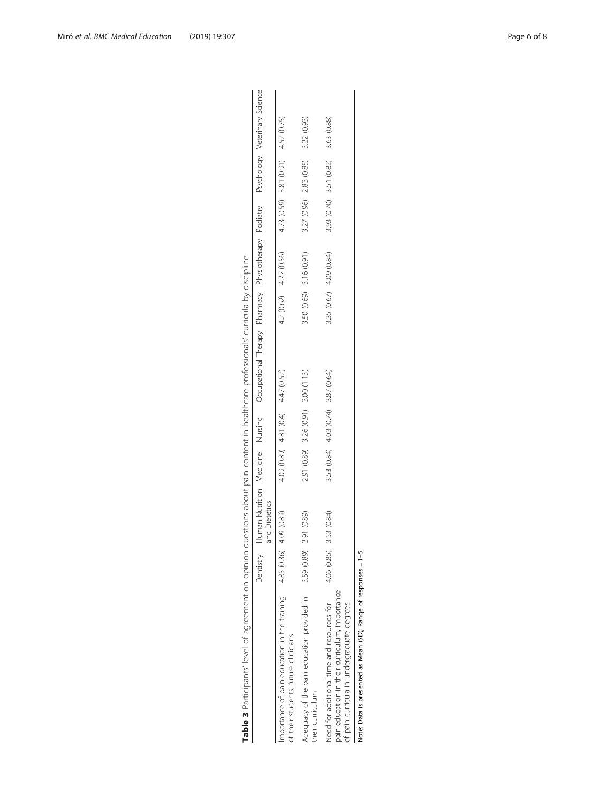<span id="page-5-0"></span>

| Table 3 Participants' level of agreement on opinion questions about pain content in healthcare professionals' curricula by discipline      |             |               |                                     |                                                                                                            |                        |                         |             |                                          |  |
|--------------------------------------------------------------------------------------------------------------------------------------------|-------------|---------------|-------------------------------------|------------------------------------------------------------------------------------------------------------|------------------------|-------------------------|-------------|------------------------------------------|--|
|                                                                                                                                            | Dentistry   | and Dietetics |                                     | Human Mutrition Medicine Mursing Occupational Therapy Physiotherapy Podiatry Psychology Veterinary Science |                        |                         |             |                                          |  |
| Importance of pain education in the training $4.85(0.36)$<br>of their students, future clinicians                                          |             | 4.09 (0.89)   | 4.09 (0.89) 4.81 (0.4) 4.47 (0.52)  |                                                                                                            | 4.2 (0.62) 4.77 (0.56) |                         |             | $4.73(0.59)$ 3.81 $(0.91)$ 4.52 $(0.75)$ |  |
| Adequacy of the pain education provided in<br>their curriculum                                                                             | 3.59 (0.89) | 2.91 (0.89)   | 2.91 (0.89) 3.26 (0.91) 3.00 (1.13) |                                                                                                            |                        | 3.50 (0.69) 3.16 (0.91) | 3.27 (0.96) | 2.83 (0.85) 3.22 (0.93)                  |  |
| pain education in their curriculum, importance<br>Need for additional time and resources for<br>of pain curricula in undergraduate degrees | 4.06 (0.85) | 3.53 (0.84)   | 3.53 (0.84) 4.03 (0.74) 3.87 (0.64) |                                                                                                            |                        | 3.35 (0.67) 4.09 (0.84) |             | 3,93 (0.70) 3.51 (0.82) 3.63 (0.88)      |  |
|                                                                                                                                            |             |               |                                     |                                                                                                            |                        |                         |             |                                          |  |

Note: Data is presented as Mean (SD); Range of responses = 1-5 Note: Data is presented as Mean (SD); Range of responses = 1–5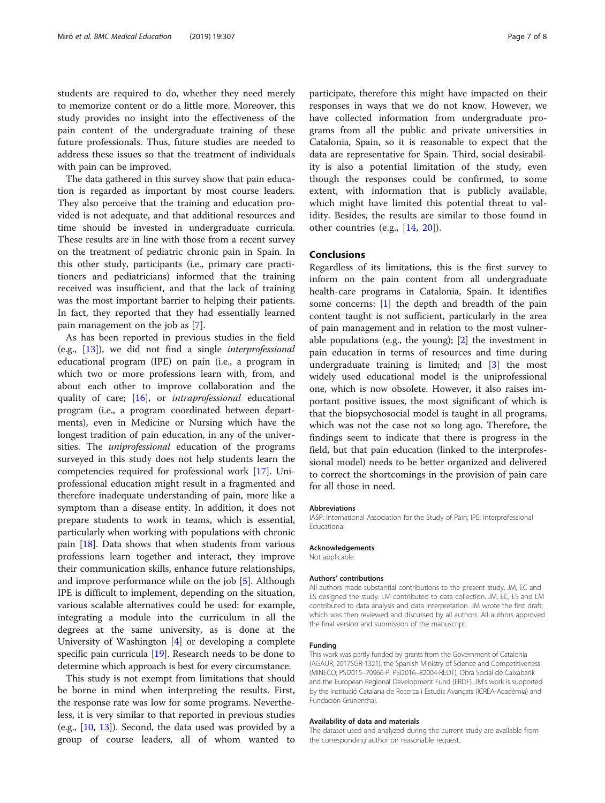students are required to do, whether they need merely to memorize content or do a little more. Moreover, this study provides no insight into the effectiveness of the pain content of the undergraduate training of these future professionals. Thus, future studies are needed to address these issues so that the treatment of individuals with pain can be improved.

The data gathered in this survey show that pain education is regarded as important by most course leaders. They also perceive that the training and education provided is not adequate, and that additional resources and time should be invested in undergraduate curricula. These results are in line with those from a recent survey on the treatment of pediatric chronic pain in Spain. In this other study, participants (i.e., primary care practitioners and pediatricians) informed that the training received was insufficient, and that the lack of training was the most important barrier to helping their patients. In fact, they reported that they had essentially learned pain management on the job as [\[7\]](#page-7-0).

As has been reported in previous studies in the field (e.g.,  $[13]$  $[13]$ ), we did not find a single *interprofessional* educational program (IPE) on pain (i.e., a program in which two or more professions learn with, from, and about each other to improve collaboration and the quality of care; [\[16\]](#page-7-0), or intraprofessional educational program (i.e., a program coordinated between departments), even in Medicine or Nursing which have the longest tradition of pain education, in any of the universities. The *uniprofessional* education of the programs surveyed in this study does not help students learn the competencies required for professional work [\[17](#page-7-0)]. Uniprofessional education might result in a fragmented and therefore inadequate understanding of pain, more like a symptom than a disease entity. In addition, it does not prepare students to work in teams, which is essential, particularly when working with populations with chronic pain [[18](#page-7-0)]. Data shows that when students from various professions learn together and interact, they improve their communication skills, enhance future relationships, and improve performance while on the job [[5\]](#page-7-0). Although IPE is difficult to implement, depending on the situation, various scalable alternatives could be used: for example, integrating a module into the curriculum in all the degrees at the same university, as is done at the University of Washington [\[4](#page-7-0)] or developing a complete specific pain curricula [[19\]](#page-7-0). Research needs to be done to determine which approach is best for every circumstance.

This study is not exempt from limitations that should be borne in mind when interpreting the results. First, the response rate was low for some programs. Nevertheless, it is very similar to that reported in previous studies (e.g., [\[10](#page-7-0), [13\]](#page-7-0)). Second, the data used was provided by a group of course leaders, all of whom wanted to

participate, therefore this might have impacted on their responses in ways that we do not know. However, we have collected information from undergraduate programs from all the public and private universities in Catalonia, Spain, so it is reasonable to expect that the data are representative for Spain. Third, social desirability is also a potential limitation of the study, even though the responses could be confirmed, to some extent, with information that is publicly available, which might have limited this potential threat to validity. Besides, the results are similar to those found in other countries (e.g., [[14,](#page-7-0) [20\]](#page-7-0)).

# Conclusions

Regardless of its limitations, this is the first survey to inform on the pain content from all undergraduate health-care programs in Catalonia, Spain. It identifies some concerns: [\[1](#page-7-0)] the depth and breadth of the pain content taught is not sufficient, particularly in the area of pain management and in relation to the most vulnerable populations (e.g., the young); [\[2](#page-7-0)] the investment in pain education in terms of resources and time during undergraduate training is limited; and [\[3](#page-7-0)] the most widely used educational model is the uniprofessional one, which is now obsolete. However, it also raises important positive issues, the most significant of which is that the biopsychosocial model is taught in all programs, which was not the case not so long ago. Therefore, the findings seem to indicate that there is progress in the field, but that pain education (linked to the interprofessional model) needs to be better organized and delivered to correct the shortcomings in the provision of pain care for all those in need.

#### Abbreviations

IASP: International Association for the Study of Pain; IPE: Interprofessional Educational

#### Acknowledgements

Not applicable.

## Authors' contributions

All authors made substantial contributions to the present study. JM, EC and ES designed the study. LM contributed to data collection. JM, EC, ES and LM contributed to data analysis and data interpretation. JM wrote the first draft, which was then reviewed and discussed by all authors. All authors approved the final version and submission of the manuscript.

#### Funding

This work was partly funded by grants from the Government of Catalonia (AGAUR; 2017SGR-1321), the Spanish Ministry of Science and Competitiveness (MINECO; PSI2015–70966-P; PSI2016–82004-REDT), Obra Social de Caixabank and the European Regional Development Fund (ERDF). JM's work is supported by the Institució Catalana de Recerca i Estudis Avançats (ICREA-Acadèmia) and Fundación Grünenthal.

#### Availability of data and materials

The dataset used and analyzed during the current study are available from the corresponding author on reasonable request.